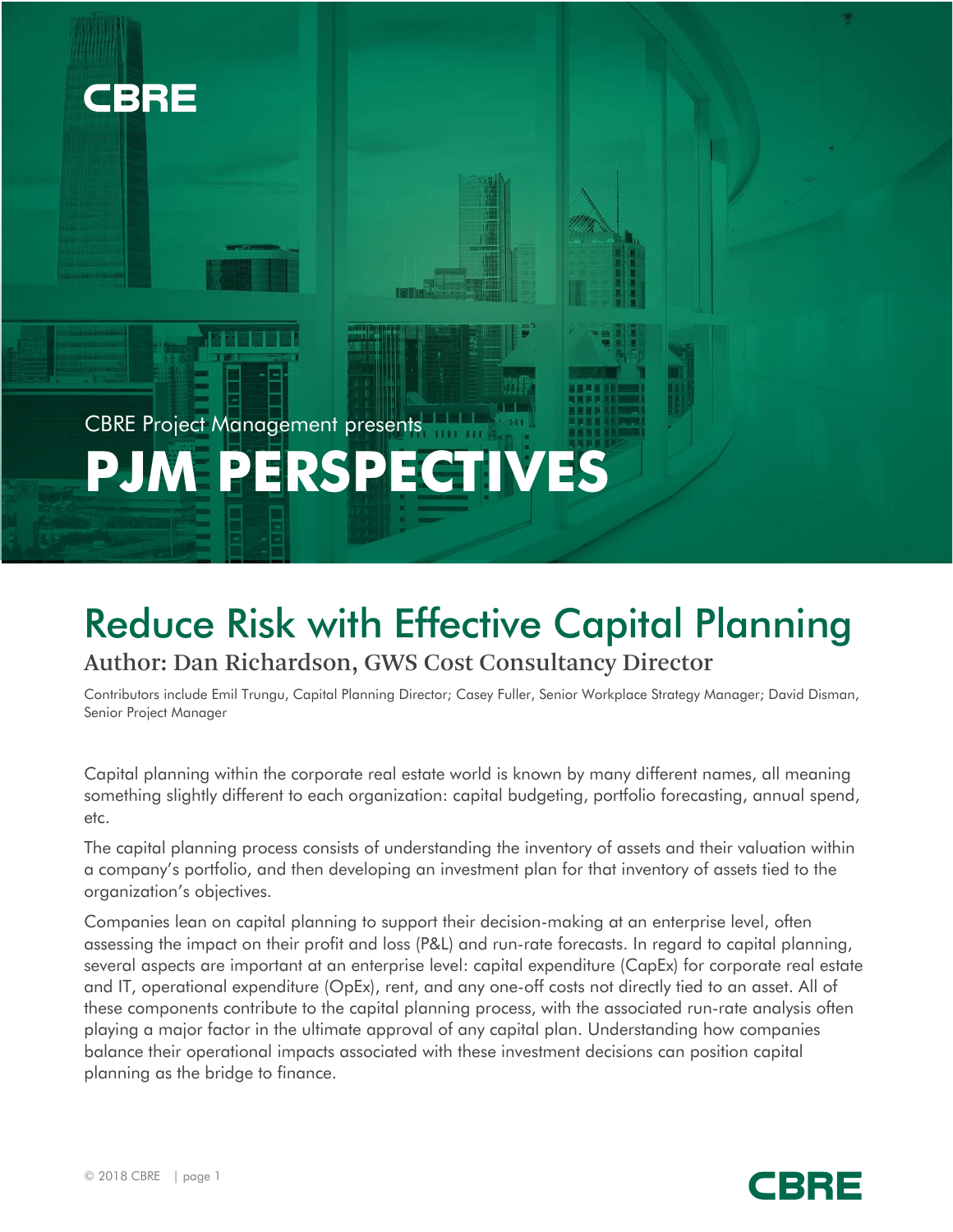

CBRE Project Management presents **PJM PERSPECTIVES**

# Reduce Risk with Effective Capital Planning Author: Dan Richardson, GWS Cost Consultancy Director

Contributors include Emil Trungu, Capital Planning Director; Casey Fuller, Senior Workplace Strategy Manager; David Disman, Senior Project Manager

Capital planning within the corporate real estate world is known by many different names, all meaning something slightly different to each organization: capital budgeting, portfolio forecasting, annual spend, etc.

The capital planning process consists of understanding the inventory of assets and their valuation within a company's portfolio, and then developing an investment plan for that inventory of assets tied to the organization's objectives.

Companies lean on capital planning to support their decision-making at an enterprise level, often assessing the impact on their profit and loss (P&L) and run-rate forecasts. In regard to capital planning, several aspects are important at an enterprise level: capital expenditure (CapEx) for corporate real estate and IT, operational expenditure (OpEx), rent, and any one-off costs not directly tied to an asset. All of these components contribute to the capital planning process, with the associated run-rate analysis often playing a major factor in the ultimate approval of any capital plan. Understanding how companies balance their operational impacts associated with these investment decisions can position capital planning as the bridge to finance.

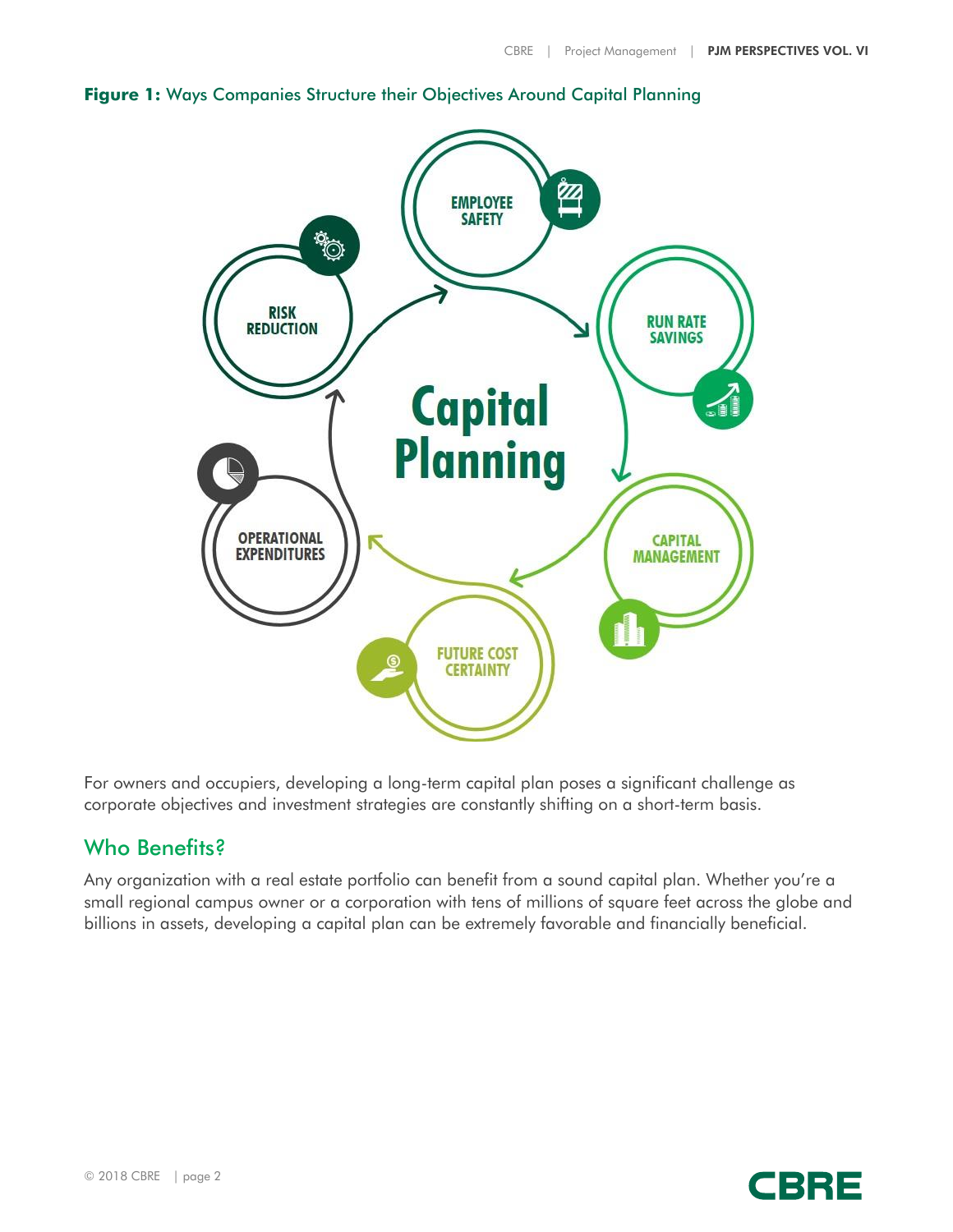



For owners and occupiers, developing a long-term capital plan poses a significant challenge as corporate objectives and investment strategies are constantly shifting on a short-term basis.

## Who Benefits?

Any organization with a real estate portfolio can benefit from a sound capital plan. Whether you're a small regional campus owner or a corporation with tens of millions of square feet across the globe and billions in assets, developing a capital plan can be extremely favorable and financially beneficial.

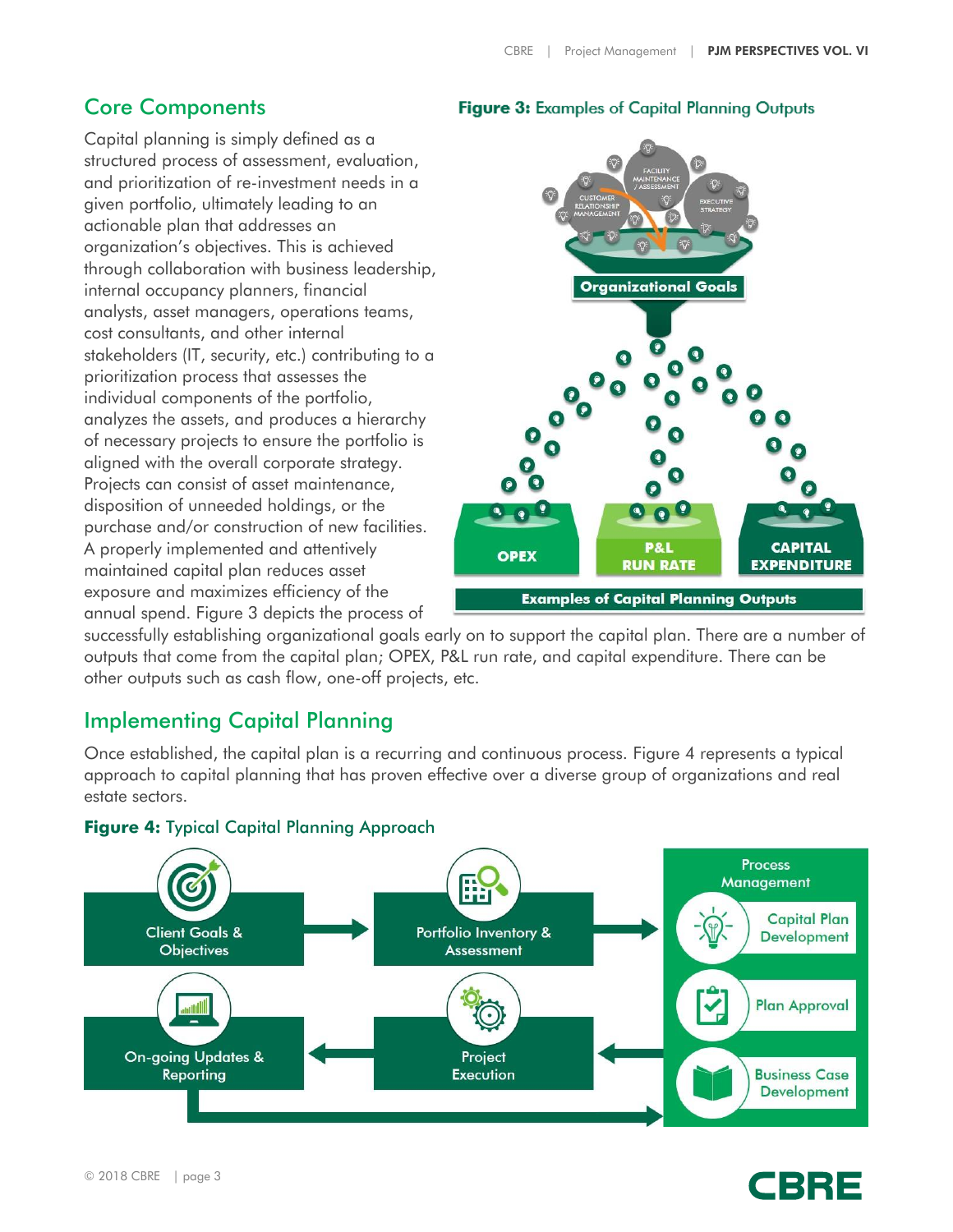### Core Components

Capital planning is simply defined as a structured process of assessment, evaluation, and prioritization of re-investment needs in a given portfolio, ultimately leading to an actionable plan that addresses an organization's objectives. This is achieved through collaboration with business leadership, internal occupancy planners, financial analysts, asset managers, operations teams, cost consultants, and other internal stakeholders (IT, security, etc.) contributing to a prioritization process that assesses the individual components of the portfolio, analyzes the assets, and produces a hierarchy of necessary projects to ensure the portfolio is aligned with the overall corporate strategy. Projects can consist of asset maintenance, disposition of unneeded holdings, or the purchase and/or construction of new facilities. A properly implemented and attentively maintained capital plan reduces asset exposure and maximizes efficiency of the annual spend. Figure 3 depicts the process of

#### Figure 3: Examples of Capital Planning Outputs



successfully establishing organizational goals early on to support the capital plan. There are a number of outputs that come from the capital plan; OPEX, P&L run rate, and capital expenditure. There can be other outputs such as cash flow, one-off projects, etc.

## Implementing Capital Planning

Once established, the capital plan is a recurring and continuous process. Figure 4 represents a typical approach to capital planning that has proven effective over a diverse group of organizations and real estate sectors.



#### **Figure 4:** Typical Capital Planning Approach

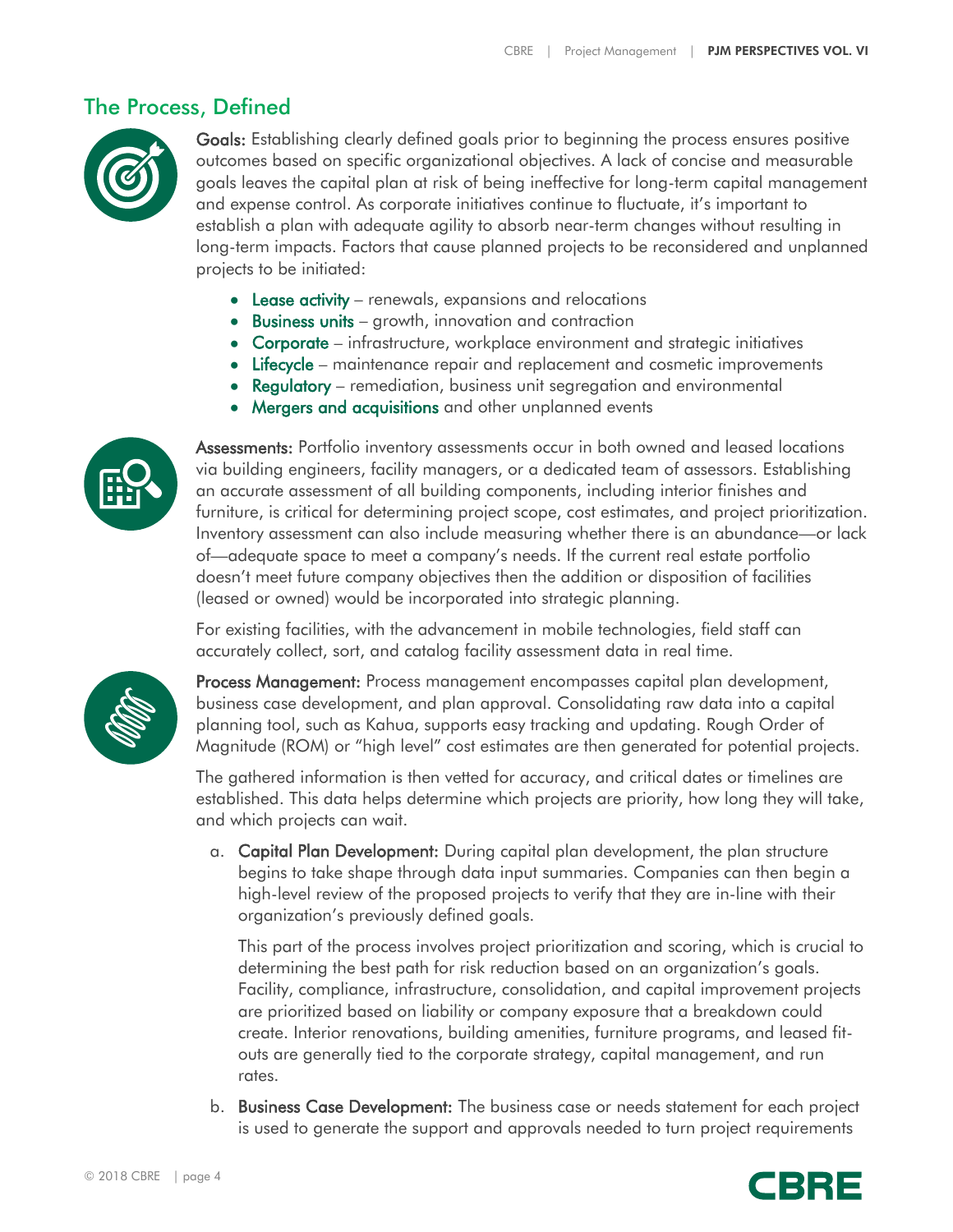#### The Process, Defined



Goals: Establishing clearly defined goals prior to beginning the process ensures positive outcomes based on specific organizational objectives. A lack of concise and measurable goals leaves the capital plan at risk of being ineffective for long-term capital management and expense control. As corporate initiatives continue to fluctuate, it's important to establish a plan with adequate agility to absorb near-term changes without resulting in long-term impacts. Factors that cause planned projects to be reconsidered and unplanned projects to be initiated:

- Lease activity renewals, expansions and relocations
- Business units growth, innovation and contraction
- Corporate infrastructure, workplace environment and strategic initiatives
- Lifecycle maintenance repair and replacement and cosmetic improvements
- Regulatory remediation, business unit segregation and environmental
- Mergers and acquisitions and other unplanned events



Assessments: Portfolio inventory assessments occur in both owned and leased locations via building engineers, facility managers, or a dedicated team of assessors. Establishing an accurate assessment of all building components, including interior finishes and furniture, is critical for determining project scope, cost estimates, and project prioritization. Inventory assessment can also include measuring whether there is an abundance—or lack of—adequate space to meet a company's needs. If the current real estate portfolio doesn't meet future company objectives then the addition or disposition of facilities (leased or owned) would be incorporated into strategic planning.

For existing facilities, with the advancement in mobile technologies, field staff can accurately collect, sort, and catalog facility assessment data in real time.



Process Management: Process management encompasses capital plan development, business case development, and plan approval. Consolidating raw data into a capital planning tool, such as Kahua, supports easy tracking and updating. Rough Order of Magnitude (ROM) or "high level" cost estimates are then generated for potential projects.

The gathered information is then vetted for accuracy, and critical dates or timelines are established. This data helps determine which projects are priority, how long they will take, and which projects can wait.

a. Capital Plan Development: During capital plan development, the plan structure begins to take shape through data input summaries. Companies can then begin a high-level review of the proposed projects to verify that they are in-line with their organization's previously defined goals.

This part of the process involves project prioritization and scoring, which is crucial to determining the best path for risk reduction based on an organization's goals. Facility, compliance, infrastructure, consolidation, and capital improvement projects are prioritized based on liability or company exposure that a breakdown could create. Interior renovations, building amenities, furniture programs, and leased fitouts are generally tied to the corporate strategy, capital management, and run rates.

b. Business Case Development: The business case or needs statement for each project is used to generate the support and approvals needed to turn project requirements

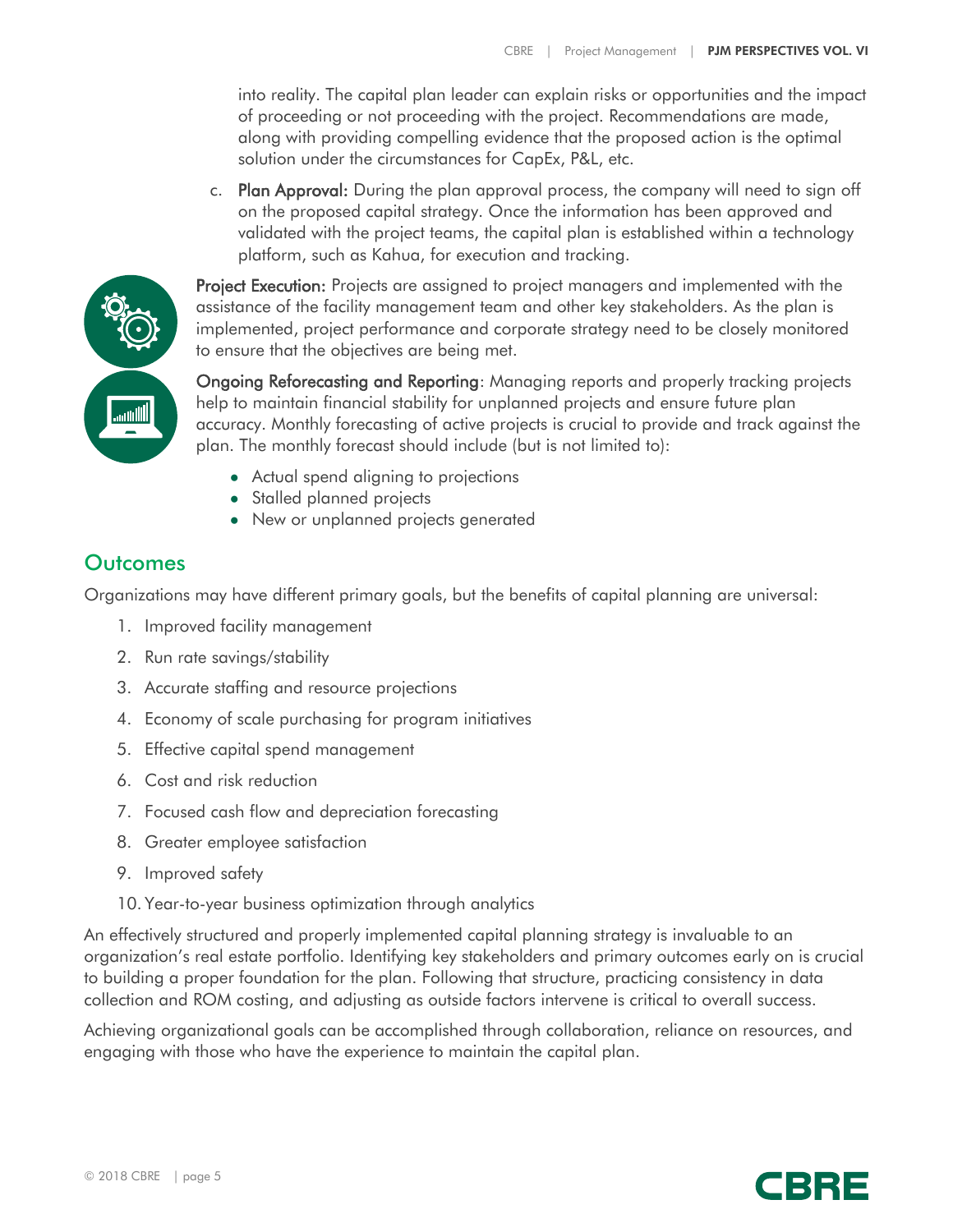into reality. The capital plan leader can explain risks or opportunities and the impact of proceeding or not proceeding with the project. Recommendations are made, along with providing compelling evidence that the proposed action is the optimal solution under the circumstances for CapEx, P&L, etc.

c. Plan Approval: During the plan approval process, the company will need to sign off on the proposed capital strategy. Once the information has been approved and validated with the project teams, the capital plan is established within a technology platform, such as Kahua, for execution and tracking.



**Project Execution:** Projects are assigned to project managers and implemented with the assistance of the facility management team and other key stakeholders. As the plan is implemented, project performance and corporate strategy need to be closely monitored to ensure that the objectives are being met.

Ongoing Reforecasting and Reporting: Managing reports and properly tracking projects help to maintain financial stability for unplanned projects and ensure future plan accuracy. Monthly forecasting of active projects is crucial to provide and track against the plan. The monthly forecast should include (but is not limited to):

- Actual spend aligning to projections
- Stalled planned projects
- New or unplanned projects generated

## **Outcomes**

Organizations may have different primary goals, but the benefits of capital planning are universal:

- 1. Improved facility management
- 2. Run rate savings/stability
- 3. Accurate staffing and resource projections
- 4. Economy of scale purchasing for program initiatives
- 5. Effective capital spend management
- 6. Cost and risk reduction
- 7. Focused cash flow and depreciation forecasting
- 8. Greater employee satisfaction
- 9. Improved safety
- 10. Year-to-year business optimization through analytics

An effectively structured and properly implemented capital planning strategy is invaluable to an organization's real estate portfolio. Identifying key stakeholders and primary outcomes early on is crucial to building a proper foundation for the plan. Following that structure, practicing consistency in data collection and ROM costing, and adjusting as outside factors intervene is critical to overall success.

Achieving organizational goals can be accomplished through collaboration, reliance on resources, and engaging with those who have the experience to maintain the capital plan.